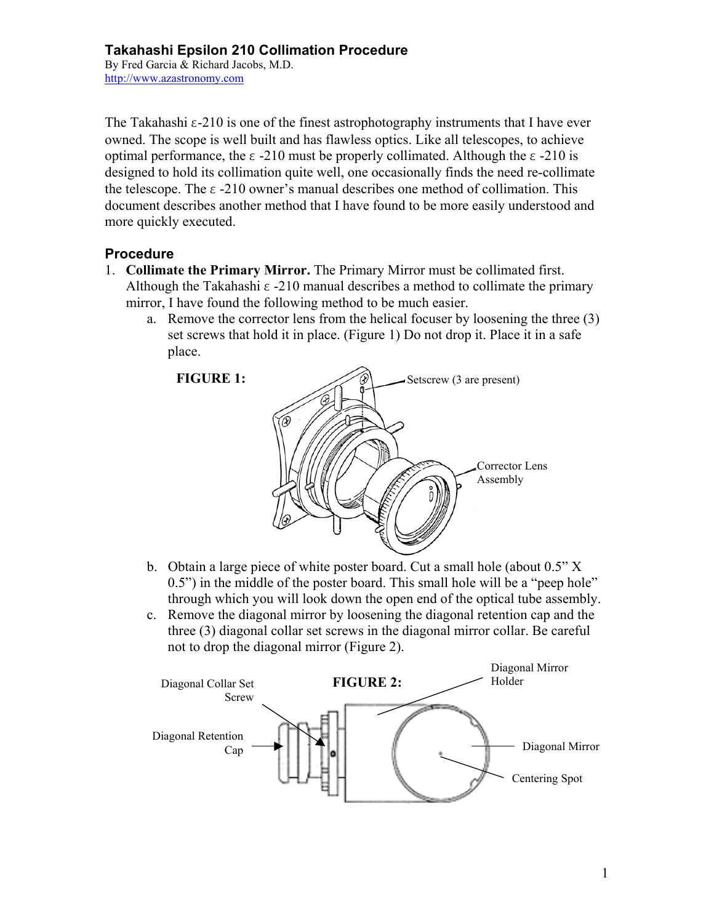By Fred Garcia & Richard Jacobs, M.D. http://www.azastronomy.com

The Takahashi  $\epsilon$ -210 is one of the finest astrophotography instruments that I have ever owned. The scope is well built and has flawless optics. Like all telescopes, to achieve optimal performance, the  $\epsilon$  -210 must be properly collimated. Although the  $\epsilon$  -210 is designed to hold its collimation quite well, one occasionally finds the need re-collimate the telescope. The  $\epsilon$  -210 owner's manual describes one method of collimation. This document describes another method that I have found to be more easily understood and more quickly executed.

#### **Procedure**

- 1. **Collimate the Primary Mirror.** The Primary Mirror must be collimated first. Although the Takahashi  $\epsilon$  -210 manual describes a method to collimate the primary mirror, I have found the following method to be much easier.
	- a. Remove the corrector lens from the helical focuser by loosening the three (3) set screws that hold it in place. (Figure 1) Do not drop it. Place it in a safe place.



- b. Obtain a large piece of white poster board. Cut a small hole (about 0.5" X 0.5") in the middle of the poster board. This small hole will be a "peep hole" through which you will look down the open end of the optical tube assembly.
- c. Remove the diagonal mirror by loosening the diagonal retention cap and the three (3) diagonal collar set screws in the diagonal mirror collar. Be careful not to drop the diagonal mirror (Figure 2).

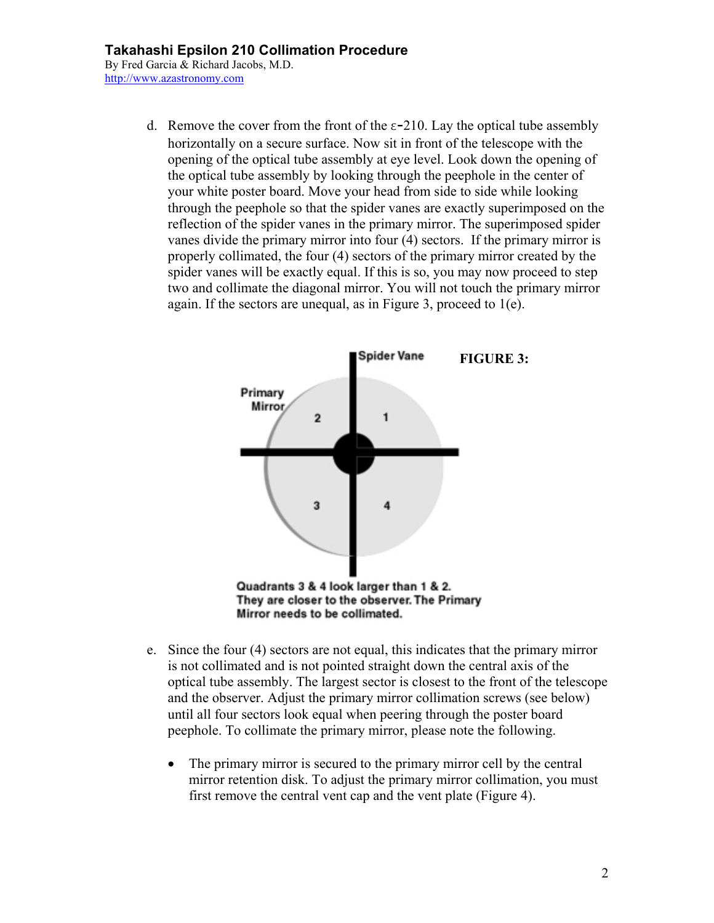By Fred Garcia & Richard Jacobs, M.D. http://www.azastronomy.com

> d. Remove the cover from the front of the  $\varepsilon$ -210. Lay the optical tube assembly horizontally on a secure surface. Now sit in front of the telescope with the opening of the optical tube assembly at eye level. Look down the opening of the optical tube assembly by looking through the peephole in the center of your white poster board. Move your head from side to side while looking through the peephole so that the spider vanes are exactly superimposed on the reflection of the spider vanes in the primary mirror. The superimposed spider vanes divide the primary mirror into four (4) sectors. If the primary mirror is properly collimated, the four (4) sectors of the primary mirror created by the spider vanes will be exactly equal. If this is so, you may now proceed to step two and collimate the diagonal mirror. You will not touch the primary mirror again. If the sectors are unequal, as in Figure 3, proceed to 1(e).



- e. Since the four (4) sectors are not equal, this indicates that the primary mirror is not collimated and is not pointed straight down the central axis of the optical tube assembly. The largest sector is closest to the front of the telescope and the observer. Adjust the primary mirror collimation screws (see below) until all four sectors look equal when peering through the poster board peephole. To collimate the primary mirror, please note the following.
	- The primary mirror is secured to the primary mirror cell by the central mirror retention disk. To adjust the primary mirror collimation, you must first remove the central vent cap and the vent plate (Figure 4).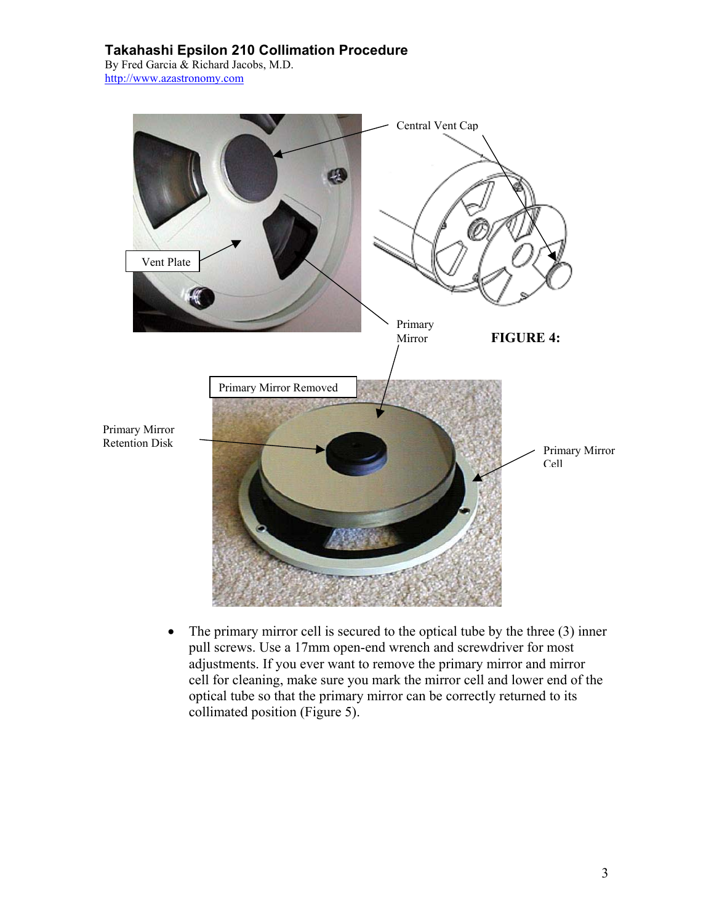By Fred Garcia & Richard Jacobs, M.D. http://www.azastronomy.com



• The primary mirror cell is secured to the optical tube by the three (3) inner pull screws. Use a 17mm open-end wrench and screwdriver for most adjustments. If you ever want to remove the primary mirror and mirror cell for cleaning, make sure you mark the mirror cell and lower end of the optical tube so that the primary mirror can be correctly returned to its collimated position (Figure 5).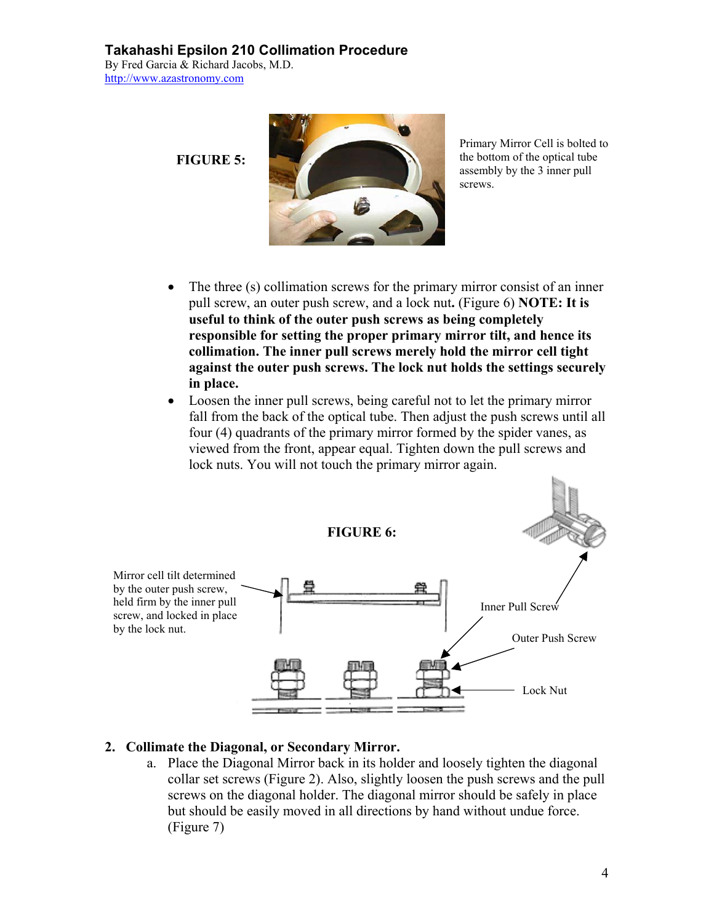By Fred Garcia & Richard Jacobs, M.D. http://www.azastronomy.com

**FIGURE 5:** 



Primary Mirror Cell is bolted to the bottom of the optical tube assembly by the 3 inner pull screws.

- The three (s) collimation screws for the primary mirror consist of an inner pull screw, an outer push screw, and a lock nut**.** (Figure 6) **NOTE: It is useful to think of the outer push screws as being completely responsible for setting the proper primary mirror tilt, and hence its collimation. The inner pull screws merely hold the mirror cell tight against the outer push screws. The lock nut holds the settings securely in place.**
- Loosen the inner pull screws, being careful not to let the primary mirror fall from the back of the optical tube. Then adjust the push screws until all four (4) quadrants of the primary mirror formed by the spider vanes, as viewed from the front, appear equal. Tighten down the pull screws and lock nuts. You will not touch the primary mirror again.



### **2. Collimate the Diagonal, or Secondary Mirror.**

a. Place the Diagonal Mirror back in its holder and loosely tighten the diagonal collar set screws (Figure 2). Also, slightly loosen the push screws and the pull screws on the diagonal holder. The diagonal mirror should be safely in place but should be easily moved in all directions by hand without undue force. (Figure 7)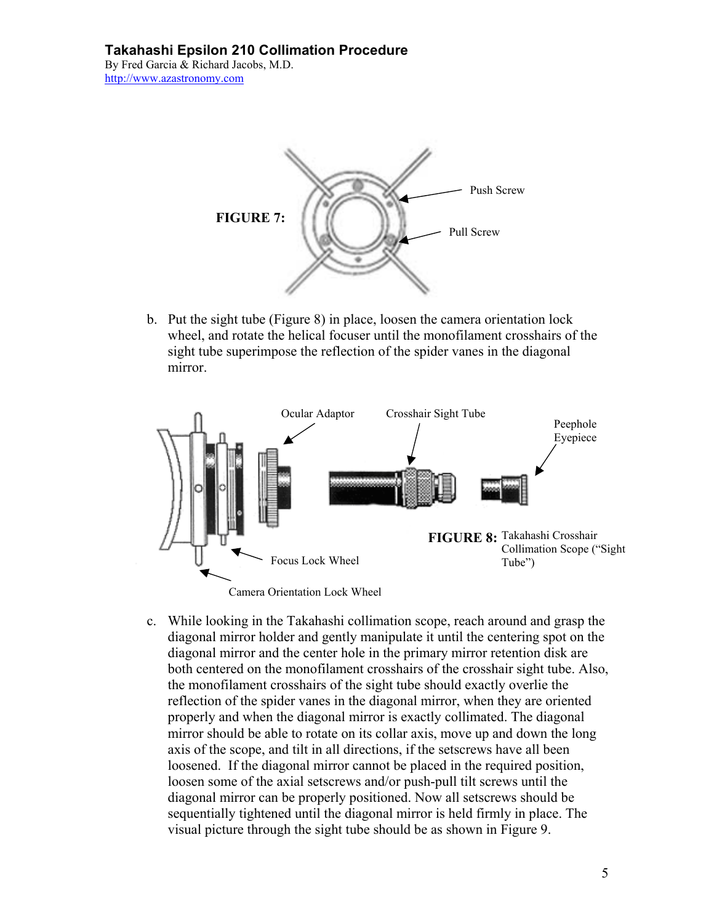By Fred Garcia & Richard Jacobs, M.D. http://www.azastronomy.com



b. Put the sight tube (Figure 8) in place, loosen the camera orientation lock wheel, and rotate the helical focuser until the monofilament crosshairs of the sight tube superimpose the reflection of the spider vanes in the diagonal mirror.



c. While looking in the Takahashi collimation scope, reach around and grasp the diagonal mirror holder and gently manipulate it until the centering spot on the diagonal mirror and the center hole in the primary mirror retention disk are both centered on the monofilament crosshairs of the crosshair sight tube. Also, the monofilament crosshairs of the sight tube should exactly overlie the reflection of the spider vanes in the diagonal mirror, when they are oriented properly and when the diagonal mirror is exactly collimated. The diagonal mirror should be able to rotate on its collar axis, move up and down the long axis of the scope, and tilt in all directions, if the setscrews have all been loosened. If the diagonal mirror cannot be placed in the required position, loosen some of the axial setscrews and/or push-pull tilt screws until the diagonal mirror can be properly positioned. Now all setscrews should be sequentially tightened until the diagonal mirror is held firmly in place. The visual picture through the sight tube should be as shown in Figure 9.